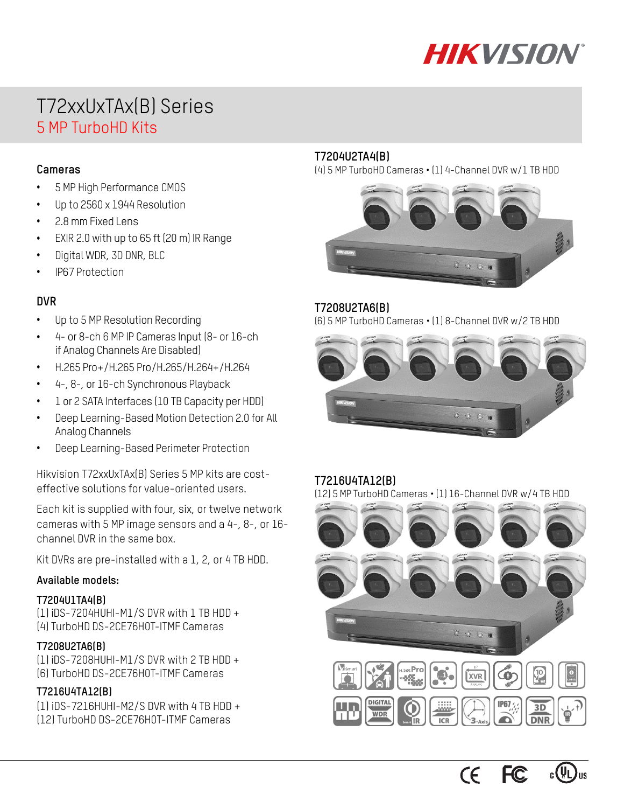

# T72xxUxTAx(B) Series 5 MP TurboHD Kits

### **Cameras**

- 5 MP High Performance CMOS
- Up to 2560 x 1944 Resolution
- 2.8 mm Fixed Lens
- EXIR 2.0 with up to 65 ft (20 m) IR Range
- Digital WDR, 3D DNR, BLC
- IP67 Protection

### **DVR**

- Up to 5 MP Resolution Recording
- 4- or 8-ch 6 MP IP Cameras Input (8- or 16-ch if Analog Channels Are Disabled)
- H.265 Pro+/H.265 Pro/H.265/H.264+/H.264
- 4-, 8-, or 16-ch Synchronous Playback
- 1 or 2 SATA Interfaces (10 TB Capacity per HDD)
- Deep Learning-Based Motion Detection 2.0 for All Analog Channels
- Deep Learning-Based Perimeter Protection

Hikvision T72xxUxTAx(B) Series 5 MP kits are costeffective solutions for value-oriented users.

Each kit is supplied with four, six, or twelve network cameras with 5 MP image sensors and a 4-, 8-, or 16 channel DVR in the same box.

Kit DVRs are pre-installed with a 1, 2, or 4 TB HDD.

#### **Available models:**

#### **T7204U1TA4(B)**

(1) iDS-7204HUHI-M1/S DVR with 1 TB HDD + (4) TurboHD DS-2CE76H0T-ITMF Cameras

### **T7208U2TA6(B)**

(1) iDS-7208HUHI-M1/S DVR with 2 TB HDD + (6) TurboHD DS-2CE76H0T-ITMF Cameras

#### **T7216U4TA12(B)**

(1) iDS-7216HUHI-M2/S DVR with 4 TB HDD + (12) TurboHD DS-2CE76H0T-ITMF Cameras

### **T7204U2TA4(B)**

(4) 5 MP TurboHD Cameras • (1) 4-Channel DVR w/1 TB HDD



### **T7208U2TA6(B)**

(6) 5 MP TurboHD Cameras • (1) 8-Channel DVR w/2 TB HDD



#### **T7216U4TA12(B)**

(12) 5 MP TurboHD Cameras • (1) 16-Channel DVR w/4 TB HDD



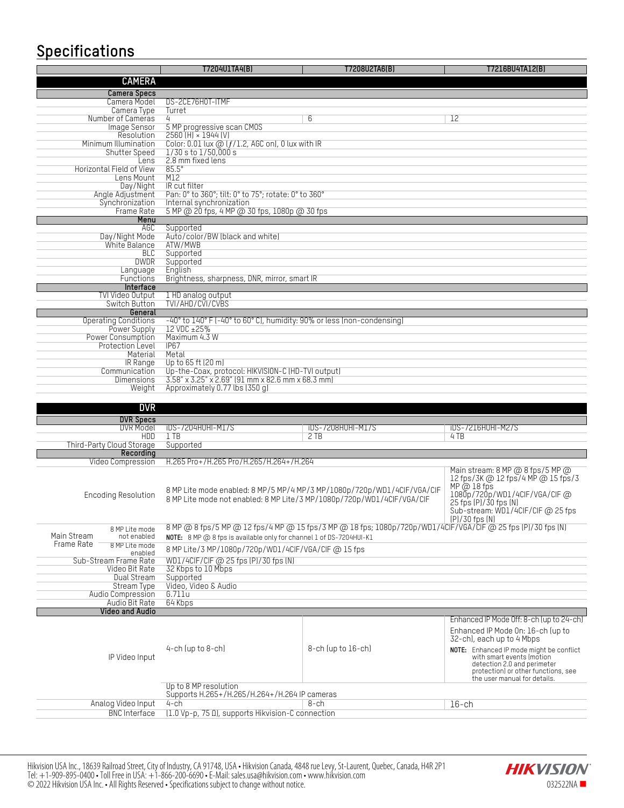# **Specifications**

| opoomoanono                                  |                                                                                                             |                                                                         |                                                                                                      |  |  |  |
|----------------------------------------------|-------------------------------------------------------------------------------------------------------------|-------------------------------------------------------------------------|------------------------------------------------------------------------------------------------------|--|--|--|
|                                              | T7204U1TA4(B)                                                                                               | T7208U2TA6(B)                                                           | T7216BU4TA12(B)                                                                                      |  |  |  |
| <b>CAMERA</b>                                |                                                                                                             |                                                                         |                                                                                                      |  |  |  |
| <b>Camera Specs</b>                          |                                                                                                             |                                                                         |                                                                                                      |  |  |  |
| Camera Model                                 | DS-2CE76H0T-ITMF                                                                                            |                                                                         |                                                                                                      |  |  |  |
| Camera Type<br>Number of Cameras             | Turret<br>4                                                                                                 | 6                                                                       | 12                                                                                                   |  |  |  |
| Image Sensor                                 | 5 MP progressive scan CMOS                                                                                  |                                                                         |                                                                                                      |  |  |  |
| Resolution                                   | 2560 (H) × 1944 (V)                                                                                         |                                                                         |                                                                                                      |  |  |  |
| Minimum Illumination<br>Shutter Speed        | Color: 0.01 lux $@$ ( $f/1.2$ , AGC on), 0 lux with IR<br>$1/30$ s to $1/50,000$ s                          |                                                                         |                                                                                                      |  |  |  |
| Lens                                         | 2.8 mm fixed lens                                                                                           |                                                                         |                                                                                                      |  |  |  |
| Horizontal Field of View                     | $85.5^\circ$                                                                                                |                                                                         |                                                                                                      |  |  |  |
| Lens Mount                                   | M12                                                                                                         |                                                                         |                                                                                                      |  |  |  |
| Day/Night<br>Angle Adjustment                | IR cut filter<br>Pan: 0° to 360°; tilt: 0° to 75°; rotate: 0° to 360°                                       |                                                                         |                                                                                                      |  |  |  |
| Synchronization                              | Internal synchronization                                                                                    |                                                                         |                                                                                                      |  |  |  |
| Frame Rate                                   | 5 MP @ 20 fps, 4 MP @ 30 fps, 1080p @ 30 fps                                                                |                                                                         |                                                                                                      |  |  |  |
| Menu                                         |                                                                                                             |                                                                         |                                                                                                      |  |  |  |
| AGC<br>Day/Night Mode                        | Supported<br>Auto/color/BW (black and white)                                                                |                                                                         |                                                                                                      |  |  |  |
| White Balance                                | ATW/MWB                                                                                                     |                                                                         |                                                                                                      |  |  |  |
| BLC                                          | Supported                                                                                                   |                                                                         |                                                                                                      |  |  |  |
| <b>DWDR</b><br>Language                      | Supported<br>Enalish                                                                                        |                                                                         |                                                                                                      |  |  |  |
| Functions                                    | Brightness, sharpness, DNR, mirror, smart IR                                                                |                                                                         |                                                                                                      |  |  |  |
| Interface                                    |                                                                                                             |                                                                         |                                                                                                      |  |  |  |
| TVI Video Output                             | 1 HD analog output                                                                                          |                                                                         |                                                                                                      |  |  |  |
| Switch Button<br>General                     | TVI/AHD/CVI/CVBS                                                                                            |                                                                         |                                                                                                      |  |  |  |
| <b>Operating Conditions</b>                  | -40° to 140° F (-40° to 60° C), humidity: 90% or less (non-condensing)                                      |                                                                         |                                                                                                      |  |  |  |
| Power Supply                                 | 12 VDC ±25%                                                                                                 |                                                                         |                                                                                                      |  |  |  |
| Power Consumption<br><b>Protection Level</b> | Maximum 4.3 W                                                                                               |                                                                         |                                                                                                      |  |  |  |
| Material                                     | IP67<br>Metal                                                                                               |                                                                         |                                                                                                      |  |  |  |
| IR Range                                     | Up to 65 ft (20 m)                                                                                          |                                                                         |                                                                                                      |  |  |  |
| Communication                                | Up-the-Coax, protocol: HIKVISION-C (HD-TVI output)                                                          |                                                                         |                                                                                                      |  |  |  |
| Dimensions<br>Weight                         | 3.58" x 3.25" x 2.69" (91 mm x 82.6 mm x 68.3 mm)<br>Approximately 0.77 lbs (350 g)                         |                                                                         |                                                                                                      |  |  |  |
|                                              |                                                                                                             |                                                                         |                                                                                                      |  |  |  |
| <b>DVR</b>                                   |                                                                                                             |                                                                         |                                                                                                      |  |  |  |
| <b>DVR Specs</b>                             |                                                                                                             |                                                                         |                                                                                                      |  |  |  |
| DVR Model                                    | <b>iDS-7204HUHI-M1/S</b>                                                                                    | <b>iDS-7208HUHI-M1/S</b>                                                | <b>iDS-7216HUHI-M2/S</b>                                                                             |  |  |  |
| HDD.<br>Third-Party Cloud Storage            | $1$ TB<br>Supported                                                                                         | 2TB                                                                     | 4TB                                                                                                  |  |  |  |
| Recordina                                    |                                                                                                             |                                                                         |                                                                                                      |  |  |  |
| Video Compression                            | H.265 Pro+/H.265 Pro/H.265/H.264+/H.264                                                                     |                                                                         |                                                                                                      |  |  |  |
|                                              |                                                                                                             |                                                                         | Main stream: 8 MP @ 8 fps/5 MP @                                                                     |  |  |  |
|                                              |                                                                                                             |                                                                         | 12 fps/3K @ 12 fps/4 MP @ 15 fps/3                                                                   |  |  |  |
| <b>Encoding Resolution</b>                   | 8 MP Lite mode not enabled: 8 MP Lite/3 MP/1080p/720p/WD1/4CIF/VGA/CIF                                      | 8 MP Lite mode enabled: 8 MP/5 MP/4 MP/3 MP/1080p/720p/WD1/4CIF/VGA/CIF | MP @ 18 fps<br>1080p/720p/WD1/4CIF/VGA/CIF @                                                         |  |  |  |
|                                              |                                                                                                             |                                                                         | 25 fps (P)/30 fps (N)                                                                                |  |  |  |
|                                              |                                                                                                             |                                                                         | Sub-stream: WD1/4CIF/CIF @ 25 fps<br>$(P)/30$ fps $(N)$                                              |  |  |  |
| 8 MP Lite mode                               | 8 MP @ 8 fps/5 MP @ 12 fps/4 MP @ 15 fps/3 MP @ 18 fps; 1080p/720p/WD1/4ClF/VGA/ClF @ 25 fps [P]/30 fps [N] |                                                                         |                                                                                                      |  |  |  |
| Main Stream<br>not enabled                   | NOTE: 8 MP @ 8 fps is available only for channel 1 of DS-7204HUI-K1                                         |                                                                         |                                                                                                      |  |  |  |
| Frame Rate<br>8 MP Lite mode<br>enabled      | 8 MP Lite/3 MP/1080p/720p/WD1/4CIF/VGA/CIF @ 15 fps                                                         |                                                                         |                                                                                                      |  |  |  |
| Sub-Stream Frame Rate                        | WD1/4CIF/CIF @ 25 fps (P)/30 fps (N)                                                                        |                                                                         |                                                                                                      |  |  |  |
| Video Bit Rate                               | 32 Kbps to 10 Mbps                                                                                          |                                                                         |                                                                                                      |  |  |  |
| Dual Stream                                  | Supported                                                                                                   |                                                                         |                                                                                                      |  |  |  |
| Stream Type                                  | Video, Video & Audio                                                                                        |                                                                         |                                                                                                      |  |  |  |
|                                              |                                                                                                             |                                                                         |                                                                                                      |  |  |  |
| Audio Compression<br>Audio Bit Rate          | 6.711u<br>64 Kbps                                                                                           |                                                                         |                                                                                                      |  |  |  |
| <b>Video and Audio</b>                       |                                                                                                             |                                                                         |                                                                                                      |  |  |  |
|                                              |                                                                                                             |                                                                         | Enhanced IP Mode Off: 8-ch (up to 24-ch)                                                             |  |  |  |
|                                              |                                                                                                             |                                                                         | Enhanced IP Mode On: 16-ch (up to                                                                    |  |  |  |
|                                              |                                                                                                             |                                                                         | 32-ch), each up to 4 Mbps                                                                            |  |  |  |
| IP Video Input                               | $4$ -ch (up to $8$ -ch)                                                                                     | $8$ -ch (up to $16$ -ch)                                                | NOTE: Enhanced IP mode might be conflict<br>with smart events (motion<br>detection 2.0 and perimeter |  |  |  |

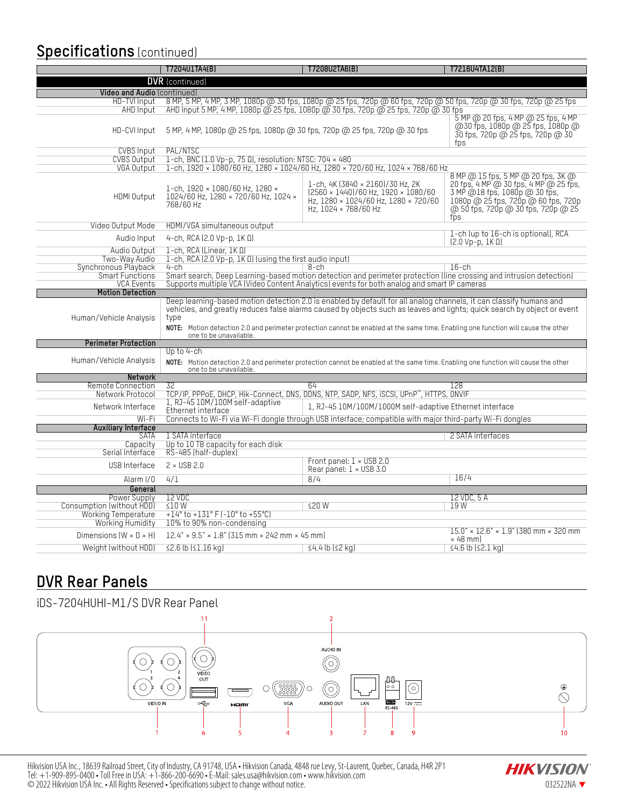### **Specifications** (continued)

|                                                         | T7204U1TA4(B)                                                                                                                                                                                                                                                                                                                                                                                                         | T7208U2TA6(B)                                                                                                                                         | T7216U4TA12(B)                                                                                                                                                                                    |  |  |
|---------------------------------------------------------|-----------------------------------------------------------------------------------------------------------------------------------------------------------------------------------------------------------------------------------------------------------------------------------------------------------------------------------------------------------------------------------------------------------------------|-------------------------------------------------------------------------------------------------------------------------------------------------------|---------------------------------------------------------------------------------------------------------------------------------------------------------------------------------------------------|--|--|
| <b>DVR</b> (continued)                                  |                                                                                                                                                                                                                                                                                                                                                                                                                       |                                                                                                                                                       |                                                                                                                                                                                                   |  |  |
| Video and Audio (continued)                             |                                                                                                                                                                                                                                                                                                                                                                                                                       |                                                                                                                                                       |                                                                                                                                                                                                   |  |  |
| HD-TVI Input                                            |                                                                                                                                                                                                                                                                                                                                                                                                                       | 8 MP, 5 MP, 4 MP, 3 MP, 1080p @ 30 fps, 1080p @ 25 fps, 720p @ 60 fps, 720p @ 50 fps, 720p @ 30 fps, 720p @ 25 fps                                    |                                                                                                                                                                                                   |  |  |
| AHD Input                                               |                                                                                                                                                                                                                                                                                                                                                                                                                       | AHD Input 5 MP, 4 MP, 1080p @ 25 fps, 1080p @ 30 fps, 720p @ 25 fps, 720p @ 30 fps                                                                    | 5 MP @ 20 fps, 4 MP @ 25 fps, 4 MP                                                                                                                                                                |  |  |
| HD-CVI Input                                            | 5 MP, 4 MP, 1080p @ 25 fps, 1080p @ 30 fps, 720p @ 25 fps, 720p @ 30 fps                                                                                                                                                                                                                                                                                                                                              | @ 30 fps, 1080p @ 25 fps, 1080p @<br>30 fps, 720p @ 25 fps, 720p @ 30<br>fps                                                                          |                                                                                                                                                                                                   |  |  |
| CVBS Input                                              | PAL/NTSC                                                                                                                                                                                                                                                                                                                                                                                                              |                                                                                                                                                       |                                                                                                                                                                                                   |  |  |
| <b>CVBS Output</b>                                      | 1-ch, BNC (1.0 Vp-p, 75 Ω), resolution: NTSC: 704 × 480                                                                                                                                                                                                                                                                                                                                                               |                                                                                                                                                       |                                                                                                                                                                                                   |  |  |
| VGA Output                                              |                                                                                                                                                                                                                                                                                                                                                                                                                       | 1-ch. 1920 × 1080/60 Hz. 1280 × 1024/60 Hz. 1280 × 720/60 Hz. 1024 × 768/60 Hz                                                                        |                                                                                                                                                                                                   |  |  |
| HDMI Output                                             | 1-ch, 1920 × 1080/60 Hz, 1280 ×<br>1024/60 Hz, 1280 × 720/60 Hz, 1024 ×<br>768/60 Hz                                                                                                                                                                                                                                                                                                                                  | 1-ch, 4K (3840 × 2160)/30 Hz, 2K<br>$(2560 \times 1440)/60$ Hz, $1920 \times 1080/60$<br>Hz, 1280 × 1024/60 Hz, 1280 × 720/60<br>Hz. 1024 × 768/60 Hz | 8 MP @ 15 fps, 5 MP @ 20 fps, 3K @<br>20 fps, 4 MP @ 30 fps, 4 MP @ 25 fps,<br>3 MP @ 18 fps, 1080p @ 30 fps,<br>1080p @ 25 fps, 720p @ 60 fps, 720p<br>@ 50 fps, 720p @ 30 fps, 720p @ 25<br>fos |  |  |
| Video Output Mode                                       | HDMI/VGA simultaneous output                                                                                                                                                                                                                                                                                                                                                                                          |                                                                                                                                                       |                                                                                                                                                                                                   |  |  |
| Audio Input                                             | 4-ch, RCA $(2.0 Vp-p, 1K \Omega)$                                                                                                                                                                                                                                                                                                                                                                                     |                                                                                                                                                       | 1-ch (up to 16-ch is optional), RCA<br>$[2.0 Vp-p, 1K0]$                                                                                                                                          |  |  |
| Audio Output                                            | 1-ch, RCA (Linear, 1K 0)                                                                                                                                                                                                                                                                                                                                                                                              |                                                                                                                                                       |                                                                                                                                                                                                   |  |  |
| Two-Way Audio                                           | 1-ch, RCA (2.0 Vp-p, 1K 0) (using the first audio input)                                                                                                                                                                                                                                                                                                                                                              |                                                                                                                                                       |                                                                                                                                                                                                   |  |  |
| Synchronous Playback<br>Smart Functions                 | $4$ -ch                                                                                                                                                                                                                                                                                                                                                                                                               | 8-ch<br>Smart search, Deep Learning-based motion detection and perimeter protection (line crossing and intrusion detection)                           | $16$ -ch                                                                                                                                                                                          |  |  |
| <b>VCA Events</b>                                       |                                                                                                                                                                                                                                                                                                                                                                                                                       | Supports multiple VCA (Video Content Analytics) events for both analog and smart IP cameras                                                           |                                                                                                                                                                                                   |  |  |
| <b>Motion Detection</b>                                 |                                                                                                                                                                                                                                                                                                                                                                                                                       |                                                                                                                                                       |                                                                                                                                                                                                   |  |  |
| Human/Vehicle Analysis                                  | Deep learning-based motion detection 2.0 is enabled by default for all analog channels, it can classify humans and<br>vehicles, and greatly reduces false alarms caused by objects such as leaves and lights; quick search by object or event<br>type<br>NOTE: Motion detection 2.0 and perimeter protection cannot be enabled at the same time. Enabling one function will cause the other<br>one to be unavailable. |                                                                                                                                                       |                                                                                                                                                                                                   |  |  |
| <b>Perimeter Protection</b>                             |                                                                                                                                                                                                                                                                                                                                                                                                                       |                                                                                                                                                       |                                                                                                                                                                                                   |  |  |
| Human/Vehicle Analysis                                  | Up to 4-ch<br>NOTE: Motion detection 2.0 and perimeter protection cannot be enabled at the same time. Enabling one function will cause the other<br>one to be unavailable.                                                                                                                                                                                                                                            |                                                                                                                                                       |                                                                                                                                                                                                   |  |  |
| Network                                                 |                                                                                                                                                                                                                                                                                                                                                                                                                       |                                                                                                                                                       |                                                                                                                                                                                                   |  |  |
| Remote Connection<br>Network Protocol                   | 32                                                                                                                                                                                                                                                                                                                                                                                                                    | 64                                                                                                                                                    | 128                                                                                                                                                                                               |  |  |
|                                                         | 1, RJ-45 10M/100M self-adaptive                                                                                                                                                                                                                                                                                                                                                                                       | TCP/IP, PPPoE, DHCP, Hik-Connect, DNS, DDNS, NTP, SADP, NFS, iSCSI, UPnP", HTTPS, ONVIF                                                               |                                                                                                                                                                                                   |  |  |
| Network Interface                                       | 1, RJ-45 10M/100M/1000M self-adaptive Ethernet interface<br>Ethernet interface                                                                                                                                                                                                                                                                                                                                        |                                                                                                                                                       |                                                                                                                                                                                                   |  |  |
| Wi-Fi                                                   |                                                                                                                                                                                                                                                                                                                                                                                                                       | Connects to Wi-Fi via Wi-Fi dongle through USB interface; compatible with major third-party Wi-Fi dongles                                             |                                                                                                                                                                                                   |  |  |
| <b>Auxiliary Interface</b><br><b>SATA</b>               | 1 SATA interface                                                                                                                                                                                                                                                                                                                                                                                                      |                                                                                                                                                       | 2 SATA interfaces                                                                                                                                                                                 |  |  |
| Capacity                                                | Up to 10 TB capacity for each disk                                                                                                                                                                                                                                                                                                                                                                                    |                                                                                                                                                       |                                                                                                                                                                                                   |  |  |
| Serial Interface                                        | RS-485 (half-duplex)                                                                                                                                                                                                                                                                                                                                                                                                  |                                                                                                                                                       |                                                                                                                                                                                                   |  |  |
| USB Interface                                           | $2 \times$ USB 2.0                                                                                                                                                                                                                                                                                                                                                                                                    | Front panel: 1 × USB 2.0<br>Rear panel: $1 \times$ USB 3.0                                                                                            |                                                                                                                                                                                                   |  |  |
| Alarm I/O                                               | 4/1                                                                                                                                                                                                                                                                                                                                                                                                                   | 8/4                                                                                                                                                   | 16/4                                                                                                                                                                                              |  |  |
| General                                                 |                                                                                                                                                                                                                                                                                                                                                                                                                       |                                                                                                                                                       |                                                                                                                                                                                                   |  |  |
| Power Supply                                            | 12 VDC                                                                                                                                                                                                                                                                                                                                                                                                                |                                                                                                                                                       | 12 VDC, 5 A                                                                                                                                                                                       |  |  |
| Consumption (without HDD)<br><b>Working Temperature</b> | < 10W<br>$+14^{\circ}$ to $+131^{\circ}$ F (-10° to +55°C)                                                                                                                                                                                                                                                                                                                                                            | 520W                                                                                                                                                  | 19 W                                                                                                                                                                                              |  |  |
| Working Humidity                                        | 10% to 90% non-condensing                                                                                                                                                                                                                                                                                                                                                                                             |                                                                                                                                                       |                                                                                                                                                                                                   |  |  |
| Dimensions $(W \times D \times H)$                      | $15.0'' \times 12.6'' \times 1.9''$ (380 mm $\times$ 320 mm<br>$12.4" \times 9.5" \times 1.8"$ (315 mm $\times$ 242 mm $\times$ 45 mm)                                                                                                                                                                                                                                                                                |                                                                                                                                                       |                                                                                                                                                                                                   |  |  |
|                                                         |                                                                                                                                                                                                                                                                                                                                                                                                                       |                                                                                                                                                       | $\times$ 48 mm                                                                                                                                                                                    |  |  |
| Weight (without HDD)                                    | $\leq$ 2.6 lb $(\leq$ 1.16 kg)                                                                                                                                                                                                                                                                                                                                                                                        | $\leq 4.4$ lb $\leq 2$ kg)                                                                                                                            | ≤4.6 lb (≤2.1 kg)                                                                                                                                                                                 |  |  |

## **DVR Rear Panels**



Hikvision USA Inc., 18639 Railroad Street, City of Industry, CA 91748, USA • Hikvision Canada, 4848 rue Levy, St-Laurent, Quebec, Canada, H4R 2P1 Tel: +1-909-895-0400 • Toll Free in USA: +1-866-200-6690 • E-Mail[: sales.usa@hikvision.com](mailto:sales.usa@hikvision.com) • www.hikvision.com  $\odot$  2022 Hikvision USA Inc. • All Rights Reserved • Specifications subject to change without notice.  $032522N$ A  $\bullet$ 

**HIKVISION**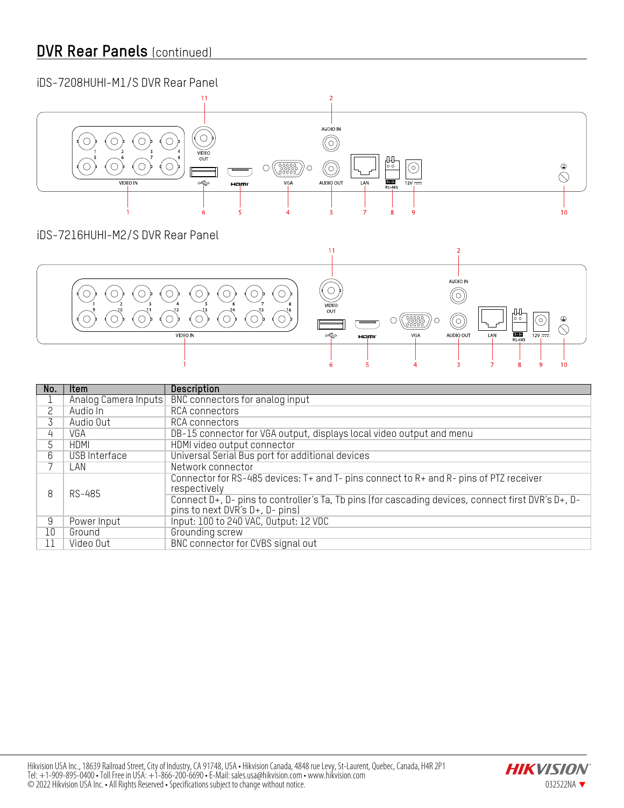### **DVR Rear Panels** (continued)

#### iDS-7208HUHI-M1/S DVR Rear Panel  $\overline{2}$ AUDIO IN  $\overline{O}$  $\circledcirc$  $\sigma$  $\sigma$  $\bigcirc$  $\circ$ VIDEO<br>OUT  $\mathbb{H}$  $\odot$  $\circledcirc$  $\sigma$  $\circ$  $\bigcirc$  $\sqrt{\frac{00000}{000000}}$  $\bigcirc$  $| \odot$  $\oplus$  $\circ$  $\overline{\bigcirc}$ VIDEO IN ≪ VGA AUDIO OUT LAN  $D+D$  $\frac{1}{12V}$ Hami 5  $\lambda$ 3  $\mathbf{a}$  $\overline{9}$  $10$

### iDS-7216HUHI-M2/S DVR Rear Panel



| No. | <b>Item</b>          | <b>Description</b>                                                                                                                    |
|-----|----------------------|---------------------------------------------------------------------------------------------------------------------------------------|
|     | Analog Camera Inputs | BNC connectors for analog input                                                                                                       |
|     | Audio In             | RCA connectors                                                                                                                        |
|     | Audio Out            | RCA connectors                                                                                                                        |
| 4   | VGA                  | DB-15 connector for VGA output, displays local video output and menu                                                                  |
|     | HDMI                 | HDMI video output connector                                                                                                           |
| 6   | USB Interface        | Universal Serial Bus port for additional devices                                                                                      |
|     | LAN                  | Network connector                                                                                                                     |
| 8   | RS-485               | Connector for RS-485 devices: T+ and T- pins connect to R+ and R- pins of PTZ receiver<br>respectively                                |
|     |                      | Connect D+, D- pins to controller's Ta, Tb pins (for cascading devices, connect first DVR's D+, D-<br>pins to next DVR's D+, D- pins) |
| 9   | Power Input          | Input: 100 to 240 VAC, 0utput: 12 VDC                                                                                                 |
| 10  | Ground               | Grounding screw                                                                                                                       |
| 11  | Video Out            | BNC connector for CVBS signal out                                                                                                     |